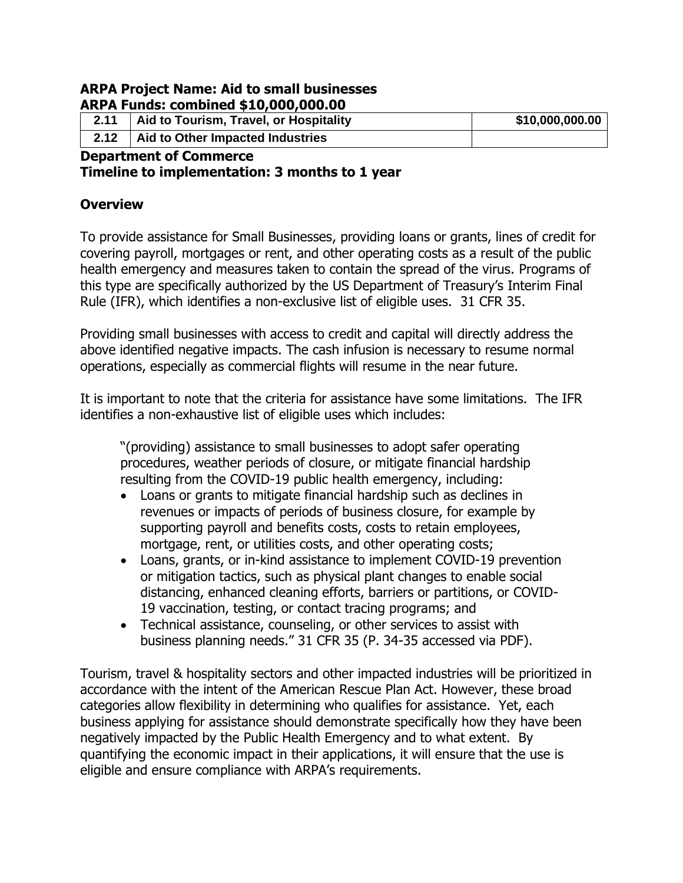#### **ARPA Project Name: Aid to small businesses ARPA Funds: combined \$10,000,000.00**

| 2.11                  | Aid to Tourism, Travel, or Hospitality | \$10,000,000.00 |  |  |
|-----------------------|----------------------------------------|-----------------|--|--|
| 2.12                  | Aid to Other Impacted Industries       |                 |  |  |
| Benedicted of Commons |                                        |                 |  |  |

#### **Department of Commerce Timeline to implementation: 3 months to 1 year**

### **Overview**

To provide assistance for Small Businesses, providing loans or grants, lines of credit for covering payroll, mortgages or rent, and other operating costs as a result of the public health emergency and measures taken to contain the spread of the virus. Programs of this type are specifically authorized by the US Department of Treasury's Interim Final Rule (IFR), which identifies a non-exclusive list of eligible uses. 31 CFR 35.

Providing small businesses with access to credit and capital will directly address the above identified negative impacts. The cash infusion is necessary to resume normal operations, especially as commercial flights will resume in the near future.

It is important to note that the criteria for assistance have some limitations. The IFR identifies a non-exhaustive list of eligible uses which includes:

"(providing) assistance to small businesses to adopt safer operating procedures, weather periods of closure, or mitigate financial hardship resulting from the COVID-19 public health emergency, including:

- Loans or grants to mitigate financial hardship such as declines in revenues or impacts of periods of business closure, for example by supporting payroll and benefits costs, costs to retain employees, mortgage, rent, or utilities costs, and other operating costs;
- Loans, grants, or in-kind assistance to implement COVID-19 prevention or mitigation tactics, such as physical plant changes to enable social distancing, enhanced cleaning efforts, barriers or partitions, or COVID-19 vaccination, testing, or contact tracing programs; and
- Technical assistance, counseling, or other services to assist with business planning needs." 31 CFR 35 (P. 34-35 accessed via PDF).

Tourism, travel & hospitality sectors and other impacted industries will be prioritized in accordance with the intent of the American Rescue Plan Act. However, these broad categories allow flexibility in determining who qualifies for assistance. Yet, each business applying for assistance should demonstrate specifically how they have been negatively impacted by the Public Health Emergency and to what extent. By quantifying the economic impact in their applications, it will ensure that the use is eligible and ensure compliance with ARPA's requirements.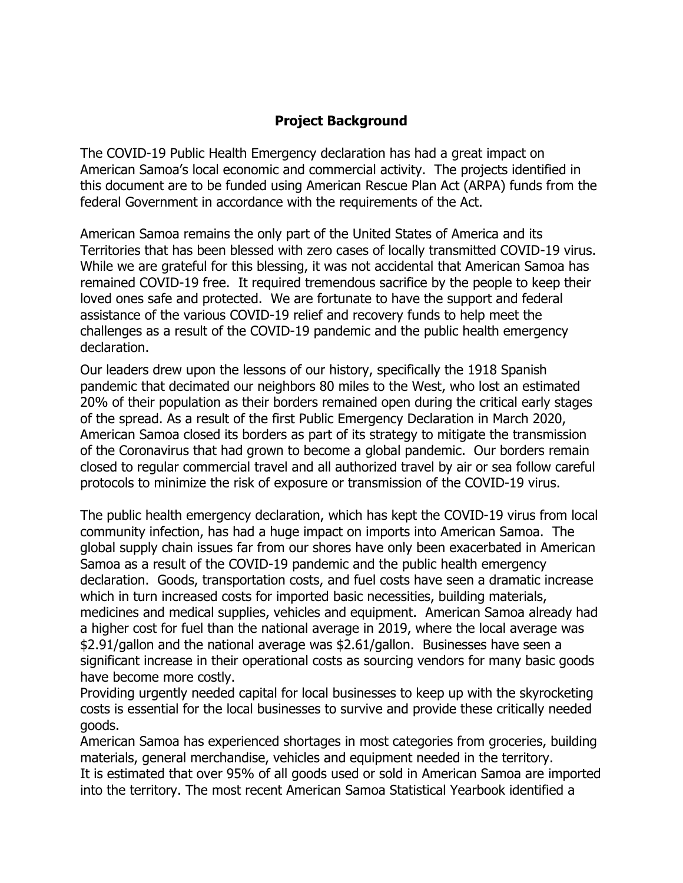### **Project Background**

The COVID-19 Public Health Emergency declaration has had a great impact on American Samoa's local economic and commercial activity. The projects identified in this document are to be funded using American Rescue Plan Act (ARPA) funds from the federal Government in accordance with the requirements of the Act.

American Samoa remains the only part of the United States of America and its Territories that has been blessed with zero cases of locally transmitted COVID-19 virus. While we are grateful for this blessing, it was not accidental that American Samoa has remained COVID-19 free. It required tremendous sacrifice by the people to keep their loved ones safe and protected. We are fortunate to have the support and federal assistance of the various COVID-19 relief and recovery funds to help meet the challenges as a result of the COVID-19 pandemic and the public health emergency declaration.

Our leaders drew upon the lessons of our history, specifically the 1918 Spanish pandemic that decimated our neighbors 80 miles to the West, who lost an estimated 20% of their population as their borders remained open during the critical early stages of the spread. As a result of the first Public Emergency Declaration in March 2020, American Samoa closed its borders as part of its strategy to mitigate the transmission of the Coronavirus that had grown to become a global pandemic. Our borders remain closed to regular commercial travel and all authorized travel by air or sea follow careful protocols to minimize the risk of exposure or transmission of the COVID-19 virus.

The public health emergency declaration, which has kept the COVID-19 virus from local community infection, has had a huge impact on imports into American Samoa. The global supply chain issues far from our shores have only been exacerbated in American Samoa as a result of the COVID-19 pandemic and the public health emergency declaration. Goods, transportation costs, and fuel costs have seen a dramatic increase which in turn increased costs for imported basic necessities, building materials, medicines and medical supplies, vehicles and equipment. American Samoa already had a higher cost for fuel than the national average in 2019, where the local average was \$2.91/gallon and the national average was \$2.61/gallon. Businesses have seen a significant increase in their operational costs as sourcing vendors for many basic goods have become more costly.

Providing urgently needed capital for local businesses to keep up with the skyrocketing costs is essential for the local businesses to survive and provide these critically needed goods.

American Samoa has experienced shortages in most categories from groceries, building materials, general merchandise, vehicles and equipment needed in the territory. It is estimated that over 95% of all goods used or sold in American Samoa are imported into the territory. The most recent American Samoa Statistical Yearbook identified a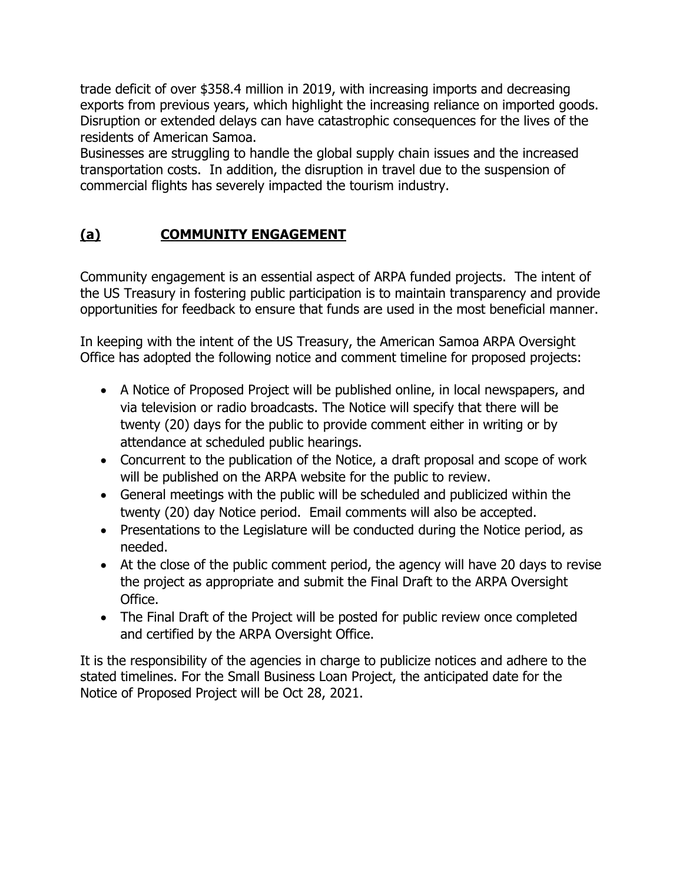trade deficit of over \$358.4 million in 2019, with increasing imports and decreasing exports from previous years, which highlight the increasing reliance on imported goods. Disruption or extended delays can have catastrophic consequences for the lives of the residents of American Samoa.

Businesses are struggling to handle the global supply chain issues and the increased transportation costs. In addition, the disruption in travel due to the suspension of commercial flights has severely impacted the tourism industry.

# **(a) COMMUNITY ENGAGEMENT**

Community engagement is an essential aspect of ARPA funded projects. The intent of the US Treasury in fostering public participation is to maintain transparency and provide opportunities for feedback to ensure that funds are used in the most beneficial manner.

In keeping with the intent of the US Treasury, the American Samoa ARPA Oversight Office has adopted the following notice and comment timeline for proposed projects:

- A Notice of Proposed Project will be published online, in local newspapers, and via television or radio broadcasts. The Notice will specify that there will be twenty (20) days for the public to provide comment either in writing or by attendance at scheduled public hearings.
- Concurrent to the publication of the Notice, a draft proposal and scope of work will be published on the ARPA website for the public to review.
- General meetings with the public will be scheduled and publicized within the twenty (20) day Notice period. Email comments will also be accepted.
- Presentations to the Legislature will be conducted during the Notice period, as needed.
- At the close of the public comment period, the agency will have 20 days to revise the project as appropriate and submit the Final Draft to the ARPA Oversight Office.
- The Final Draft of the Project will be posted for public review once completed and certified by the ARPA Oversight Office.

It is the responsibility of the agencies in charge to publicize notices and adhere to the stated timelines. For the Small Business Loan Project, the anticipated date for the Notice of Proposed Project will be Oct 28, 2021.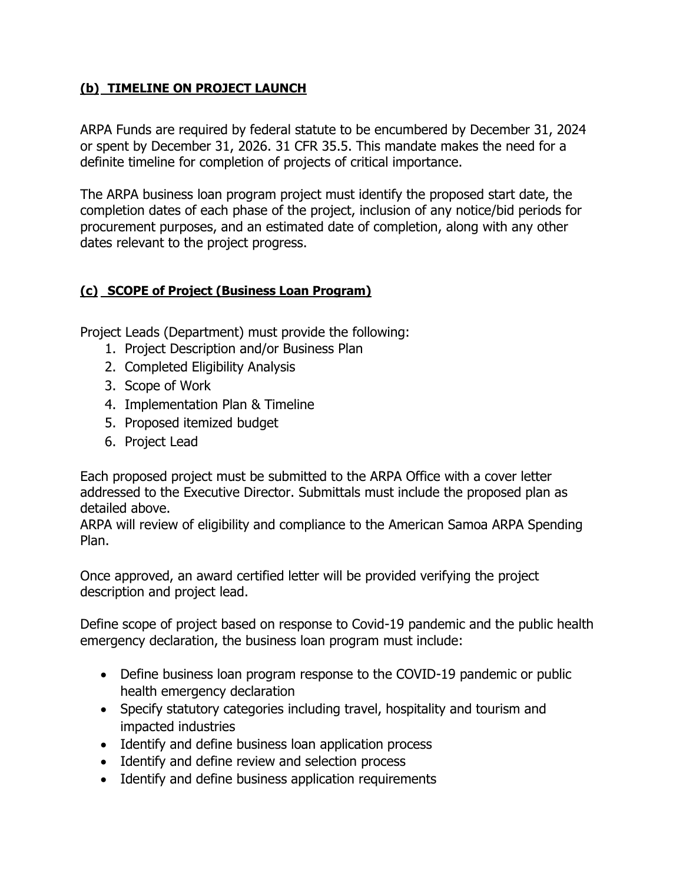#### **(b) TIMELINE ON PROJECT LAUNCH**

ARPA Funds are required by federal statute to be encumbered by December 31, 2024 or spent by December 31, 2026. 31 CFR 35.5. This mandate makes the need for a definite timeline for completion of projects of critical importance.

The ARPA business loan program project must identify the proposed start date, the completion dates of each phase of the project, inclusion of any notice/bid periods for procurement purposes, and an estimated date of completion, along with any other dates relevant to the project progress.

### **(c) SCOPE of Project (Business Loan Program)**

Project Leads (Department) must provide the following:

- 1. Project Description and/or Business Plan
- 2. Completed Eligibility Analysis
- 3. Scope of Work
- 4. Implementation Plan & Timeline
- 5. Proposed itemized budget
- 6. Project Lead

Each proposed project must be submitted to the ARPA Office with a cover letter addressed to the Executive Director. Submittals must include the proposed plan as detailed above.

ARPA will review of eligibility and compliance to the American Samoa ARPA Spending Plan.

Once approved, an award certified letter will be provided verifying the project description and project lead.

Define scope of project based on response to Covid-19 pandemic and the public health emergency declaration, the business loan program must include:

- Define business loan program response to the COVID-19 pandemic or public health emergency declaration
- Specify statutory categories including travel, hospitality and tourism and impacted industries
- Identify and define business loan application process
- Identify and define review and selection process
- Identify and define business application requirements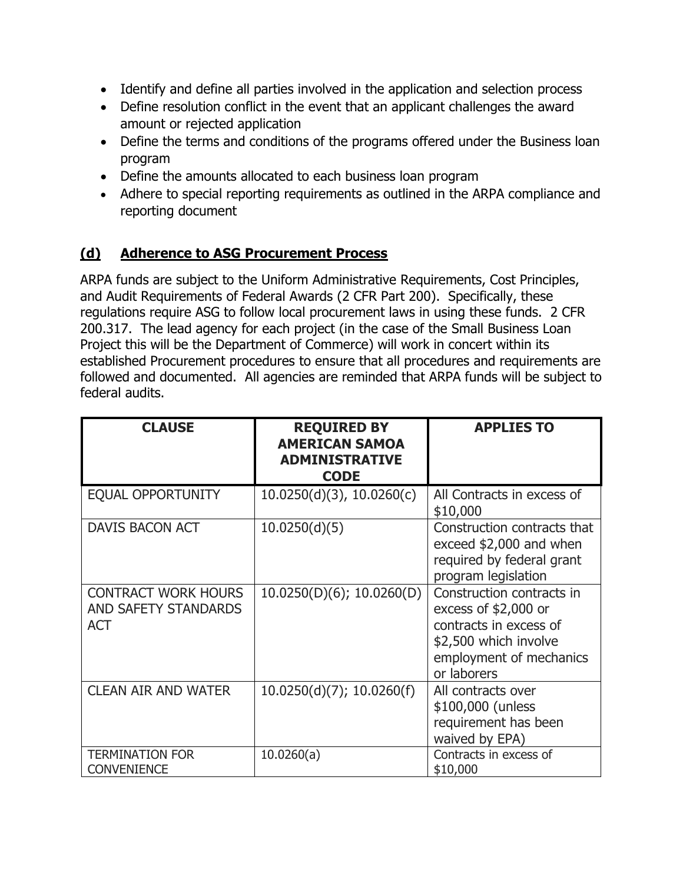- Identify and define all parties involved in the application and selection process
- Define resolution conflict in the event that an applicant challenges the award amount or rejected application
- Define the terms and conditions of the programs offered under the Business loan program
- Define the amounts allocated to each business loan program
- Adhere to special reporting requirements as outlined in the ARPA compliance and reporting document

### **(d) Adherence to ASG Procurement Process**

ARPA funds are subject to the Uniform Administrative Requirements, Cost Principles, and Audit Requirements of Federal Awards (2 CFR Part 200). Specifically, these regulations require ASG to follow local procurement laws in using these funds. 2 CFR 200.317. The lead agency for each project (in the case of the Small Business Loan Project this will be the Department of Commerce) will work in concert within its established Procurement procedures to ensure that all procedures and requirements are followed and documented. All agencies are reminded that ARPA funds will be subject to federal audits.

| <b>CLAUSE</b>                                                           | <b>REQUIRED BY</b><br><b>AMERICAN SAMOA</b><br><b>ADMINISTRATIVE</b><br><b>CODE</b> | <b>APPLIES TO</b>                                                                                                                               |
|-------------------------------------------------------------------------|-------------------------------------------------------------------------------------|-------------------------------------------------------------------------------------------------------------------------------------------------|
| <b>EQUAL OPPORTUNITY</b>                                                | $10.0250(d)(3)$ , $10.0260(c)$                                                      | All Contracts in excess of<br>\$10,000                                                                                                          |
| DAVIS BACON ACT                                                         | 10.0250(d)(5)                                                                       | Construction contracts that<br>exceed \$2,000 and when<br>required by federal grant<br>program legislation                                      |
| <b>CONTRACT WORK HOURS</b><br><b>AND SAFETY STANDARDS</b><br><b>ACT</b> | 10.0250(D)(6); 10.0260(D)                                                           | Construction contracts in<br>excess of $$2,000$ or<br>contracts in excess of<br>\$2,500 which involve<br>employment of mechanics<br>or laborers |
| <b>CLEAN AIR AND WATER</b>                                              | 10.0250(d)(7); 10.0260(f)                                                           | All contracts over<br>\$100,000 (unless<br>requirement has been<br>waived by EPA)                                                               |
| <b>TERMINATION FOR</b><br><b>CONVENIENCE</b>                            | 10.0260(a)                                                                          | Contracts in excess of<br>\$10,000                                                                                                              |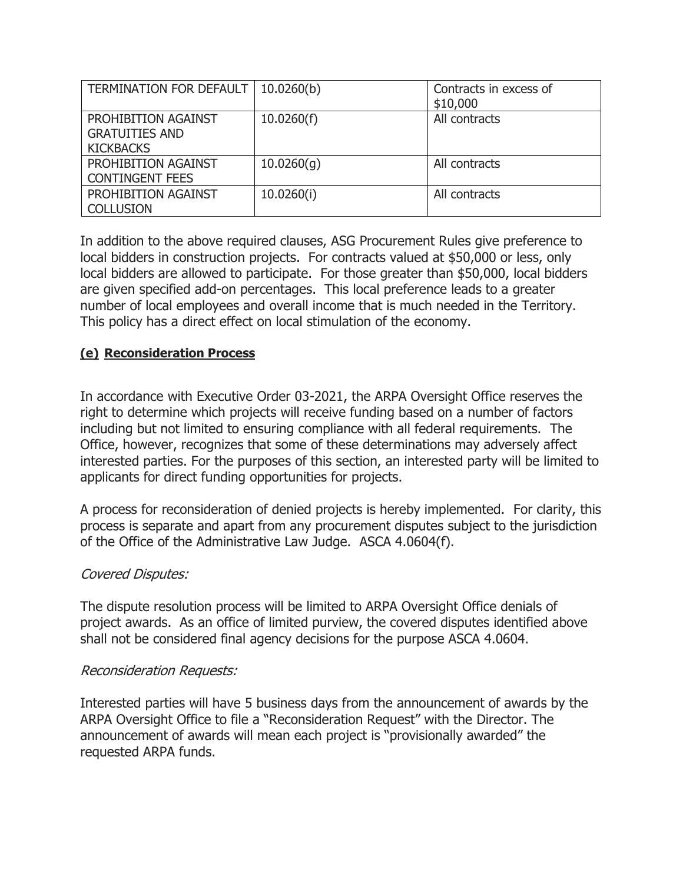| TERMINATION FOR DEFAULT                                          | 10.0260(b) | Contracts in excess of<br>\$10,000 |
|------------------------------------------------------------------|------------|------------------------------------|
| PROHIBITION AGAINST<br><b>GRATUITIES AND</b><br><b>KICKBACKS</b> | 10.0260(f) | All contracts                      |
| PROHIBITION AGAINST<br><b>CONTINGENT FEES</b>                    | 10.0260(q) | All contracts                      |
| PROHIBITION AGAINST<br><b>COLLUSION</b>                          | 10.0260(i) | All contracts                      |

In addition to the above required clauses, ASG Procurement Rules give preference to local bidders in construction projects. For contracts valued at \$50,000 or less, only local bidders are allowed to participate. For those greater than \$50,000, local bidders are given specified add-on percentages. This local preference leads to a greater number of local employees and overall income that is much needed in the Territory. This policy has a direct effect on local stimulation of the economy.

#### **(e) Reconsideration Process**

In accordance with Executive Order 03-2021, the ARPA Oversight Office reserves the right to determine which projects will receive funding based on a number of factors including but not limited to ensuring compliance with all federal requirements. The Office, however, recognizes that some of these determinations may adversely affect interested parties. For the purposes of this section, an interested party will be limited to applicants for direct funding opportunities for projects.

A process for reconsideration of denied projects is hereby implemented. For clarity, this process is separate and apart from any procurement disputes subject to the jurisdiction of the Office of the Administrative Law Judge. ASCA 4.0604(f).

#### Covered Disputes:

The dispute resolution process will be limited to ARPA Oversight Office denials of project awards. As an office of limited purview, the covered disputes identified above shall not be considered final agency decisions for the purpose ASCA 4.0604.

#### Reconsideration Requests:

Interested parties will have 5 business days from the announcement of awards by the ARPA Oversight Office to file a "Reconsideration Request" with the Director. The announcement of awards will mean each project is "provisionally awarded" the requested ARPA funds.